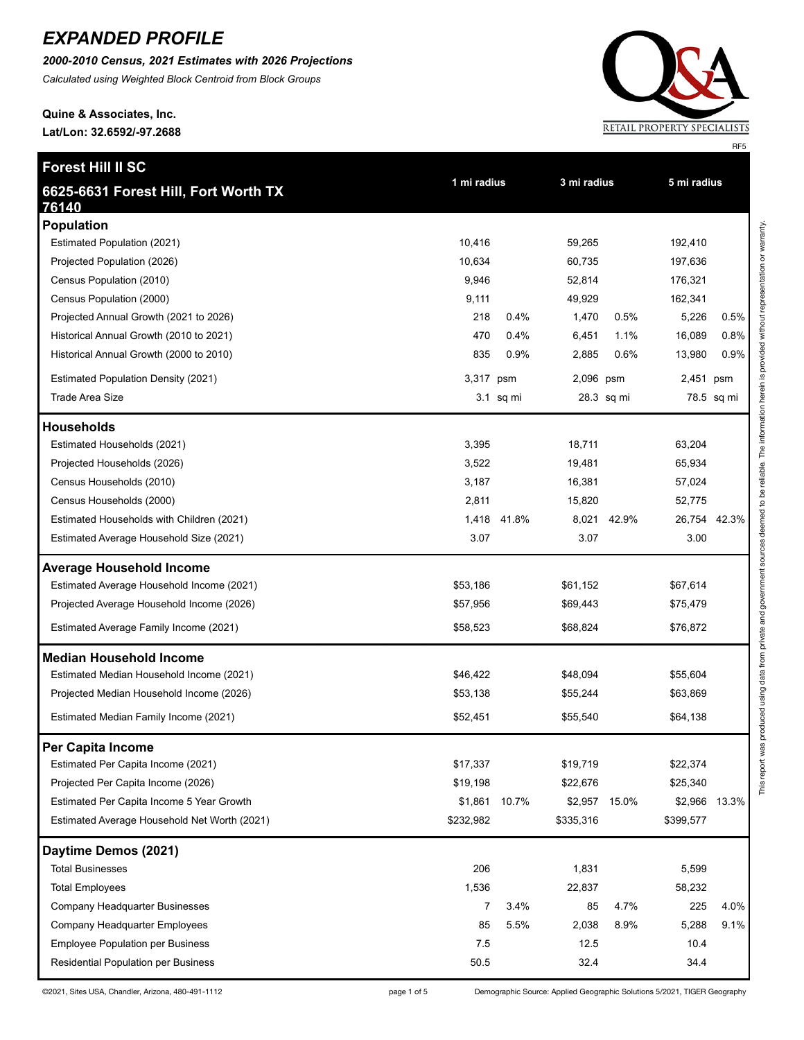*2000-2010 Census, 2021 Estimates with 2026 Projections Calculated using Weighted Block Centroid from Block Groups*

# **Quine & Associates, Inc.**

**Lat/Lon: 32.6592/-97.2688**

**Forest Hill II SC**



This report was produced using data from private and government sources deemed to be reliable. The information herein is provided without representation or warranty. This report was produced using data from private and government sources deemed to be reliable. The information herein is provided without representation or warranty.

| 6625-6631 Forest Hill, Fort Worth TX             | 1 mi radius |           | 3 mi radius |               | 5 mi radius |               |  |
|--------------------------------------------------|-------------|-----------|-------------|---------------|-------------|---------------|--|
| 76140                                            |             |           |             |               |             |               |  |
| <b>Population</b><br>Estimated Population (2021) | 10,416      |           | 59,265      |               | 192,410     |               |  |
| Projected Population (2026)                      | 10,634      |           | 60,735      |               | 197,636     |               |  |
| Census Population (2010)                         | 9,946       |           | 52,814      |               | 176,321     |               |  |
| Census Population (2000)                         | 9,111       |           | 49,929      |               | 162,341     |               |  |
| Projected Annual Growth (2021 to 2026)           | 218         | 0.4%      | 1,470       | 0.5%          | 5,226       | 0.5%          |  |
| Historical Annual Growth (2010 to 2021)          | 470         | 0.4%      | 6,451       | 1.1%          | 16,089      | 0.8%          |  |
| Historical Annual Growth (2000 to 2010)          | 835         | 0.9%      | 2,885       | 0.6%          | 13,980      | 0.9%          |  |
| <b>Estimated Population Density (2021)</b>       | 3,317       | psm       | 2,096 psm   |               | 2,451 psm   |               |  |
| <b>Trade Area Size</b>                           |             | 3.1 sq mi |             | 28.3 sq mi    |             | 78.5 sq mi    |  |
| <b>Households</b>                                |             |           |             |               |             |               |  |
| Estimated Households (2021)                      | 3,395       |           | 18,711      |               | 63,204      |               |  |
| Projected Households (2026)                      | 3,522       |           | 19,481      |               | 65,934      |               |  |
| Census Households (2010)                         | 3,187       |           | 16,381      |               | 57,024      |               |  |
| Census Households (2000)                         | 2,811       |           | 15,820      |               | 52,775      |               |  |
| Estimated Households with Children (2021)        | 1,418       | 41.8%     | 8,021       | 42.9%         |             | 26,754 42.3%  |  |
| Estimated Average Household Size (2021)          | 3.07        |           | 3.07        |               | 3.00        |               |  |
| <b>Average Household Income</b>                  |             |           |             |               |             |               |  |
| Estimated Average Household Income (2021)        | \$53,186    |           | \$61,152    |               | \$67,614    |               |  |
| Projected Average Household Income (2026)        | \$57,956    |           | \$69,443    |               | \$75,479    |               |  |
| Estimated Average Family Income (2021)           | \$58,523    |           | \$68,824    |               | \$76,872    |               |  |
| <b>Median Household Income</b>                   |             |           |             |               |             |               |  |
| Estimated Median Household Income (2021)         | \$46,422    |           | \$48,094    |               | \$55,604    |               |  |
| Projected Median Household Income (2026)         | \$53,138    |           | \$55,244    |               | \$63,869    |               |  |
| Estimated Median Family Income (2021)            | \$52,451    |           | \$55,540    |               | \$64,138    |               |  |
| Per Capita Income                                |             |           |             |               |             |               |  |
| Estimated Per Capita Income (2021)               | \$17,337    |           | \$19,719    |               | \$22,374    |               |  |
| Projected Per Capita Income (2026)               | \$19,198    |           | \$22,676    |               | \$25,340    |               |  |
| Estimated Per Capita Income 5 Year Growth        | \$1,861     | 10.7%     |             | \$2,957 15.0% |             | \$2,966 13.3% |  |
| Estimated Average Household Net Worth (2021)     | \$232,982   |           | \$335,316   |               | \$399,577   |               |  |
| Daytime Demos (2021)                             |             |           |             |               |             |               |  |
| <b>Total Businesses</b>                          | 206         |           | 1,831       |               | 5,599       |               |  |
| <b>Total Employees</b>                           | 1,536       |           | 22,837      |               | 58,232      |               |  |
| Company Headquarter Businesses                   | 7           | 3.4%      | 85          | 4.7%          | 225         | 4.0%          |  |
| Company Headquarter Employees                    | 85          | 5.5%      | 2,038       | 8.9%          | 5,288       | 9.1%          |  |
| <b>Employee Population per Business</b>          | 7.5         |           | 12.5        |               | 10.4        |               |  |
| Residential Population per Business              | 50.5        |           | 32.4        |               | 34.4        |               |  |

©2021, Sites USA, Chandler, Arizona, 480-491-1112 <br>
page 1 of 5 Demographic Source: Applied Geographic Solutions 5/2021, TIGER Geography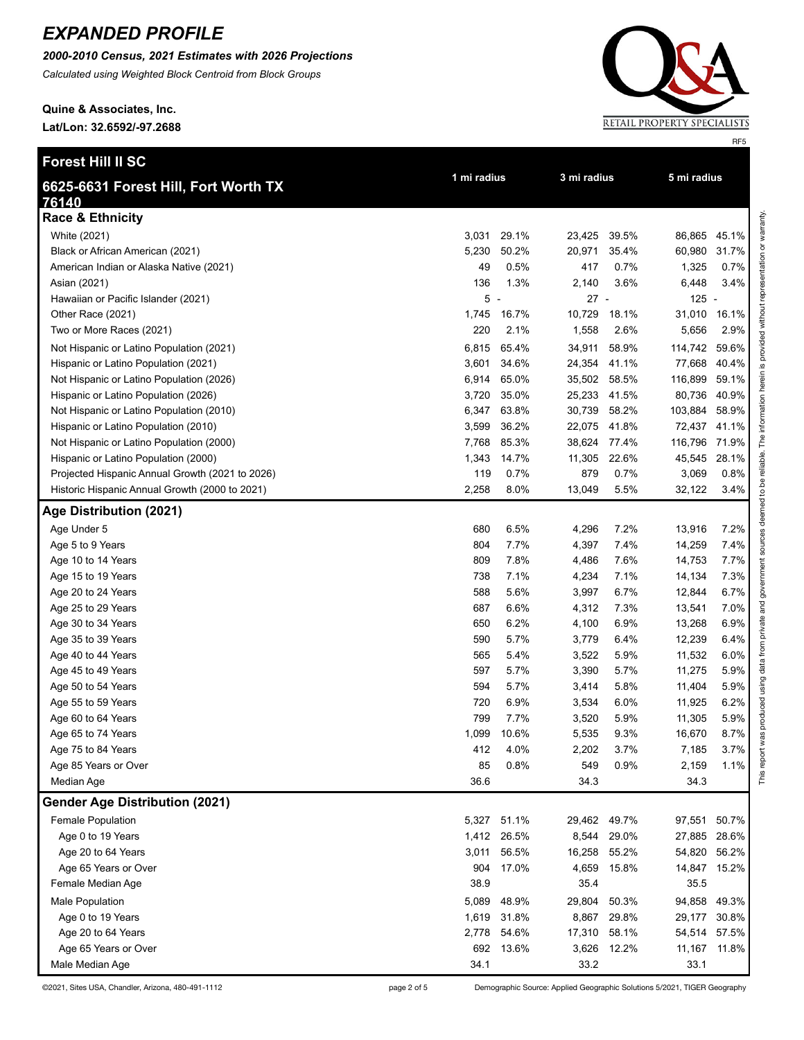*2000-2010 Census, 2021 Estimates with 2026 Projections*

*Calculated using Weighted Block Centroid from Block Groups*

**Quine & Associates, Inc. Lat/Lon: 32.6592/-97.2688**



©2021, Sites USA, Chandler, Arizona, 480-491-1112 page 2 of 5 Demographic Source: Applied Geographic Solutions 5/2021, TIGER Geography

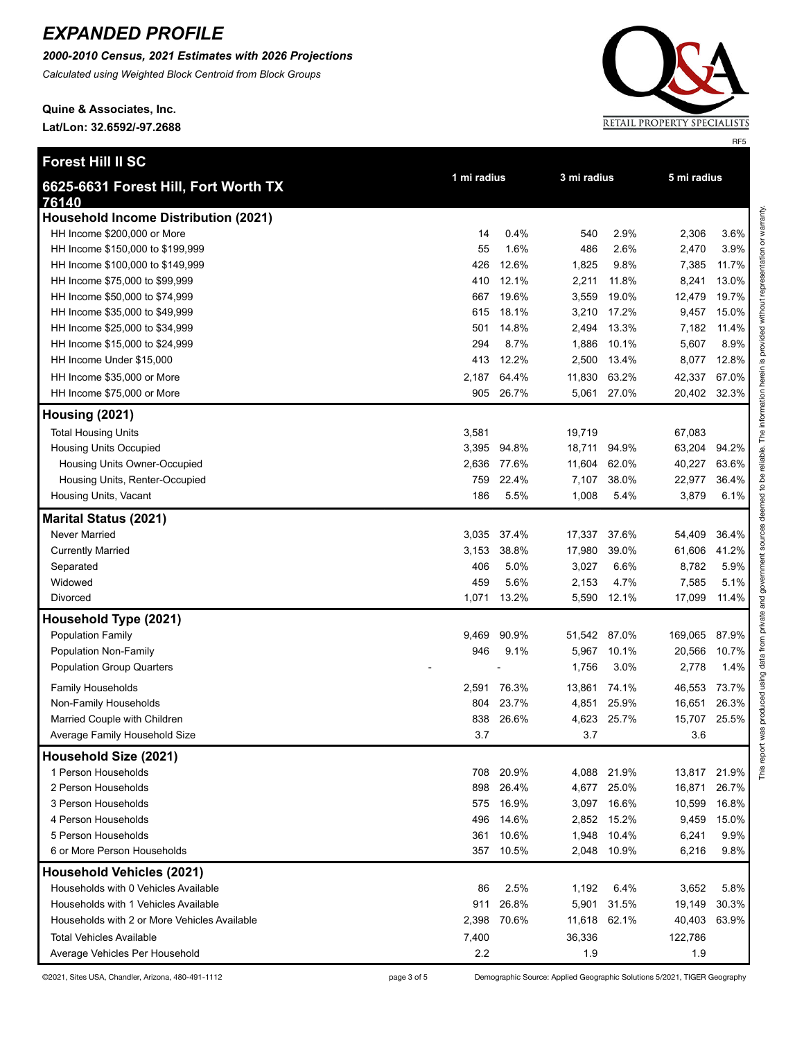*2000-2010 Census, 2021 Estimates with 2026 Projections*

*Calculated using Weighted Block Centroid from Block Groups*

**Quine & Associates, Inc. Lat/Lon: 32.6592/-97.2688**



©2021, Sites USA, Chandler, Arizona, 480-491-1112 page 3 of 5 Demographic Source: Applied Geographic Solutions 5/2021, TIGER Geography

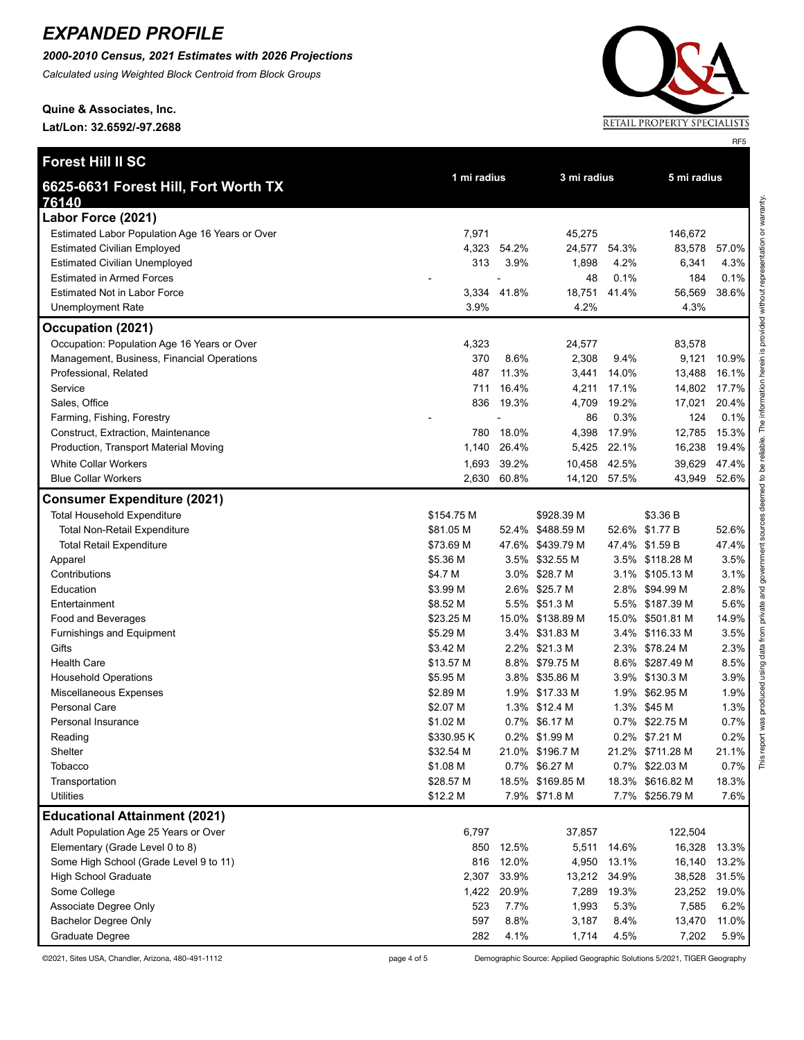*2000-2010 Census, 2021 Estimates with 2026 Projections*

*Calculated using Weighted Block Centroid from Block Groups*

**Quine & Associates, Inc.**

**Lat/Lon: 32.6592/-97.2688**

| Forest Hill II SC                               |                       |             |                                   |               |                          |               |
|-------------------------------------------------|-----------------------|-------------|-----------------------------------|---------------|--------------------------|---------------|
| 6625-6631 Forest Hill, Fort Worth TX            | 1 mi radius           |             | 3 mi radius                       |               | 5 mi radius              |               |
| 76140<br>Labor Force (2021)                     |                       |             |                                   |               |                          |               |
| Estimated Labor Population Age 16 Years or Over | 7,971                 |             | 45,275                            |               | 146,672                  |               |
| <b>Estimated Civilian Employed</b>              | 4,323                 | 54.2%       | 24,577                            | 54.3%         | 83,578                   | 57.0%         |
| <b>Estimated Civilian Unemployed</b>            | 313                   | 3.9%        | 1,898                             | 4.2%          | 6,341                    | 4.3%          |
| <b>Estimated in Armed Forces</b>                |                       | ÷,          | 48                                | 0.1%          | 184                      | 0.1%          |
| <b>Estimated Not in Labor Force</b>             |                       | 3,334 41.8% | 18,751                            | 41.4%         | 56,569                   | 38.6%         |
| <b>Unemployment Rate</b>                        | 3.9%                  |             | 4.2%                              |               | 4.3%                     |               |
| Occupation (2021)                               |                       |             |                                   |               |                          |               |
| Occupation: Population Age 16 Years or Over     | 4,323                 |             | 24,577                            |               | 83,578                   |               |
| Management, Business, Financial Operations      | 370                   | 8.6%        | 2,308                             | 9.4%          | 9,121                    | 10.9%         |
| Professional, Related                           | 487                   | 11.3%       | 3,441                             | 14.0%         | 13,488                   | 16.1%         |
| Service                                         | 711                   | 16.4%       | 4,211                             | 17.1%         | 14,802                   | 17.7%         |
| Sales, Office                                   | 836                   | 19.3%       | 4,709                             | 19.2%         | 17,021                   | 20.4%         |
| Farming, Fishing, Forestry                      |                       |             | 86                                | 0.3%          | 124                      | 0.1%          |
| Construct, Extraction, Maintenance              | 780                   | 18.0%       | 4,398                             | 17.9%         | 12,785                   | 15.3%         |
| Production, Transport Material Moving           | 1,140                 | 26.4%       | 5,425                             | 22.1%         | 16,238                   | 19.4%         |
| <b>White Collar Workers</b>                     | 1,693                 | 39.2%       | 10,458                            | 42.5%         | 39,629                   | 47.4%         |
| <b>Blue Collar Workers</b>                      |                       | 2,630 60.8% | 14,120 57.5%                      |               | 43,949                   | 52.6%         |
| <b>Consumer Expenditure (2021)</b>              |                       |             |                                   |               |                          |               |
| <b>Total Household Expenditure</b>              | \$154.75 M            |             | \$928.39 M                        |               | \$3.36 B                 |               |
| <b>Total Non-Retail Expenditure</b>             | \$81.05 M             |             | 52.4% \$488.59 M                  |               | 52.6% \$1.77 B           | 52.6%         |
| <b>Total Retail Expenditure</b>                 | \$73.69 M             |             | 47.6% \$439.79 M                  |               | 47.4% \$1.59 B           | 47.4%         |
| Apparel                                         | \$5.36 M              |             | 3.5% \$32.55 M                    |               | 3.5% \$118.28 M          | 3.5%          |
| Contributions                                   | \$4.7 M               |             | 3.0% \$28.7 M                     |               | 3.1% \$105.13 M          | 3.1%          |
| Education                                       | \$3.99 M              |             | 2.6% \$25.7 M                     |               | 2.8% \$94.99 M           | 2.8%          |
| Entertainment                                   | \$8.52 M              |             | 5.5% \$51.3 M                     |               | 5.5% \$187.39 M          | 5.6%          |
| Food and Beverages                              | \$23.25 M             |             | 15.0% \$138.89 M                  |               | 15.0% \$501.81 M         | 14.9%         |
| Furnishings and Equipment                       | \$5.29 M              |             | 3.4% \$31.83 M                    |               | 3.4% \$116.33 M          | 3.5%          |
| Gifts                                           | \$3.42 M              |             | 2.2% \$21.3 M                     |               | 2.3% \$78.24 M           | 2.3%          |
| <b>Health Care</b>                              | \$13.57 M             |             | 8.8% \$79.75 M                    |               | 8.6% \$287.49 M          | 8.5%          |
| <b>Household Operations</b>                     | \$5.95 M              |             | 3.8% \$35.86 M                    |               | 3.9% \$130.3 M           | 3.9%          |
| Miscellaneous Expenses                          | \$2.89 M              |             | 1.9% \$17.33 M                    | 1.9%          | \$62.95 M                | 1.9%          |
| Personal Care                                   | \$2.07 M              |             | 1.3% \$12.4 M                     |               | 1.3% \$45 M              | 1.3%          |
| Personal Insurance                              | \$1.02 M              |             | 0.7% \$6.17 M                     |               | 0.7% \$22.75 M           | 0.7%          |
| Reading                                         | \$330.95 K            |             | 0.2% \$1.99 M                     |               | 0.2% \$7.21 M            | 0.2%          |
| Shelter                                         | \$32.54 M             |             | 21.0% \$196.7 M                   |               | 21.2% \$711.28 M         | 21.1%         |
| Tobacco                                         | \$1.08 M              |             | 0.7% \$6.27 M                     |               | 0.7% \$22.03 M           | 0.7%          |
| Transportation<br><b>Utilities</b>              | \$28.57 M<br>\$12.2 M |             | 18.5% \$169.85 M<br>7.9% \$71.8 M | 18.3%<br>7.7% | \$616.82 M<br>\$256.79 M | 18.3%<br>7.6% |
|                                                 |                       |             |                                   |               |                          |               |
| <b>Educational Attainment (2021)</b>            |                       |             |                                   |               |                          |               |
| Adult Population Age 25 Years or Over           | 6,797                 |             | 37,857                            |               | 122,504                  |               |
| Elementary (Grade Level 0 to 8)                 | 850                   | 12.5%       | 5,511                             | 14.6%         | 16,328                   | 13.3%         |
| Some High School (Grade Level 9 to 11)          | 816                   | 12.0%       | 4,950                             | 13.1%         | 16,140                   | 13.2%         |
| <b>High School Graduate</b>                     | 2,307                 | 33.9%       | 13,212                            | 34.9%         | 38,528                   | 31.5%         |
| Some College                                    | 1,422                 | 20.9%       | 7,289                             | 19.3%         | 23,252                   | 19.0%         |
| Associate Degree Only                           | 523                   | 7.7%        | 1,993                             | 5.3%          | 7,585                    | 6.2%          |
| <b>Bachelor Degree Only</b>                     | 597                   | 8.8%        | 3,187                             | 8.4%          | 13,470                   | 11.0%         |
| Graduate Degree                                 | 282                   | 4.1%        | 1,714                             | 4.5%          | 7,202                    | 5.9%          |

©2021, Sites USA, Chandler, Arizona, 480-491-1112 page 4 of 5 Demographic Source: Applied Geographic Solutions 5/2021, TIGER Geography